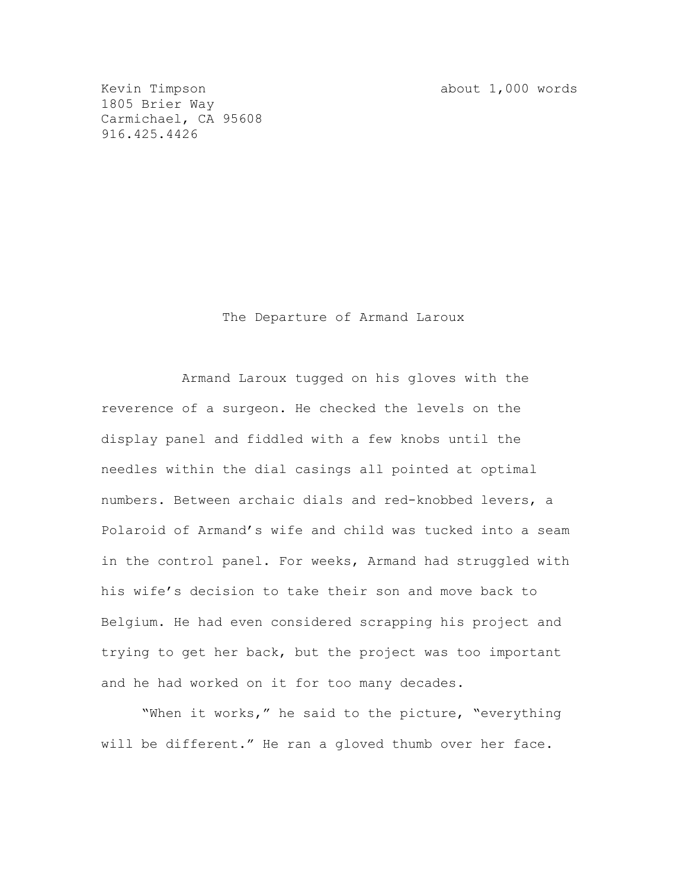Kevin Timpson about 1,000 words

1805 Brier Way Carmichael, CA 95608 916.425.4426

The Departure of Armand Laroux

Armand Laroux tugged on his gloves with the reverence of a surgeon. He checked the levels on the display panel and fiddled with a few knobs until the needles within the dial casings all pointed at optimal numbers. Between archaic dials and red-knobbed levers, a Polaroid of Armand's wife and child was tucked into a seam in the control panel. For weeks, Armand had struggled with his wife's decision to take their son and move back to Belgium. He had even considered scrapping his project and trying to get her back, but the project was too important and he had worked on it for too many decades.

"When it works," he said to the picture, "everything will be different." He ran a gloved thumb over her face.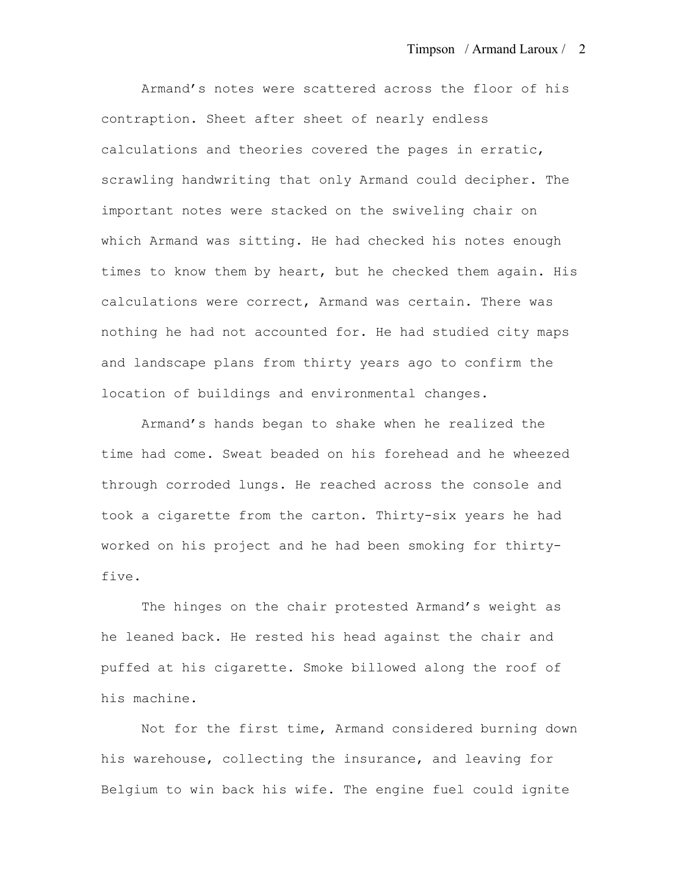Armand's notes were scattered across the floor of his contraption. Sheet after sheet of nearly endless calculations and theories covered the pages in erratic, scrawling handwriting that only Armand could decipher. The important notes were stacked on the swiveling chair on which Armand was sitting. He had checked his notes enough times to know them by heart, but he checked them again. His calculations were correct, Armand was certain. There was nothing he had not accounted for. He had studied city maps and landscape plans from thirty years ago to confirm the location of buildings and environmental changes.

Armand's hands began to shake when he realized the time had come. Sweat beaded on his forehead and he wheezed through corroded lungs. He reached across the console and took a cigarette from the carton. Thirty-six years he had worked on his project and he had been smoking for thirtyfive.

The hinges on the chair protested Armand's weight as he leaned back. He rested his head against the chair and puffed at his cigarette. Smoke billowed along the roof of his machine.

Not for the first time, Armand considered burning down his warehouse, collecting the insurance, and leaving for Belgium to win back his wife. The engine fuel could ignite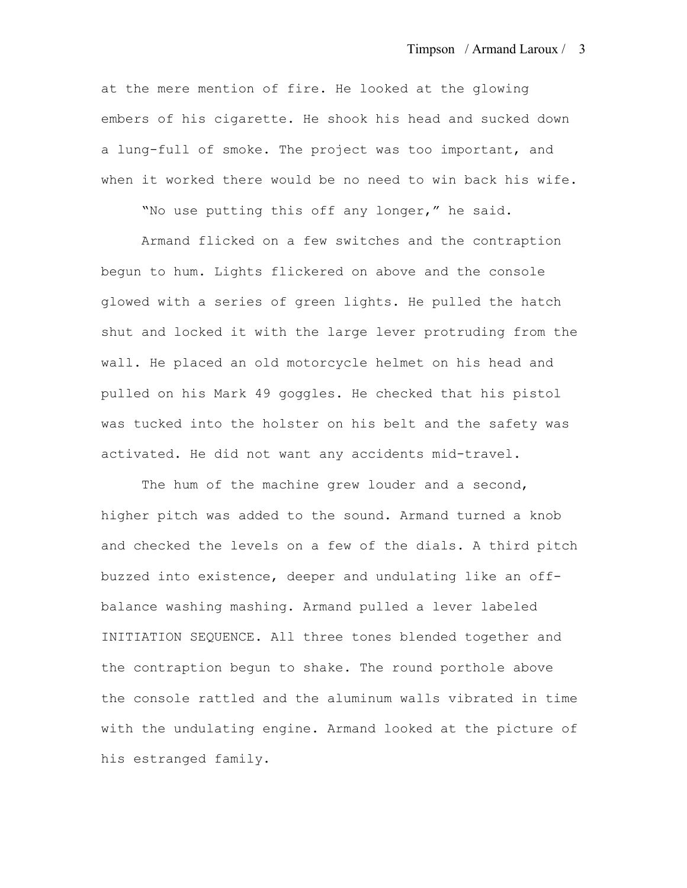at the mere mention of fire. He looked at the glowing embers of his cigarette. He shook his head and sucked down a lung-full of smoke. The project was too important, and when it worked there would be no need to win back his wife.

"No use putting this off any longer," he said.

Armand flicked on a few switches and the contraption begun to hum. Lights flickered on above and the console glowed with a series of green lights. He pulled the hatch shut and locked it with the large lever protruding from the wall. He placed an old motorcycle helmet on his head and pulled on his Mark 49 goggles. He checked that his pistol was tucked into the holster on his belt and the safety was activated. He did not want any accidents mid-travel.

The hum of the machine grew louder and a second, higher pitch was added to the sound. Armand turned a knob and checked the levels on a few of the dials. A third pitch buzzed into existence, deeper and undulating like an offbalance washing mashing. Armand pulled a lever labeled INITIATION SEQUENCE. All three tones blended together and the contraption begun to shake. The round porthole above the console rattled and the aluminum walls vibrated in time with the undulating engine. Armand looked at the picture of his estranged family.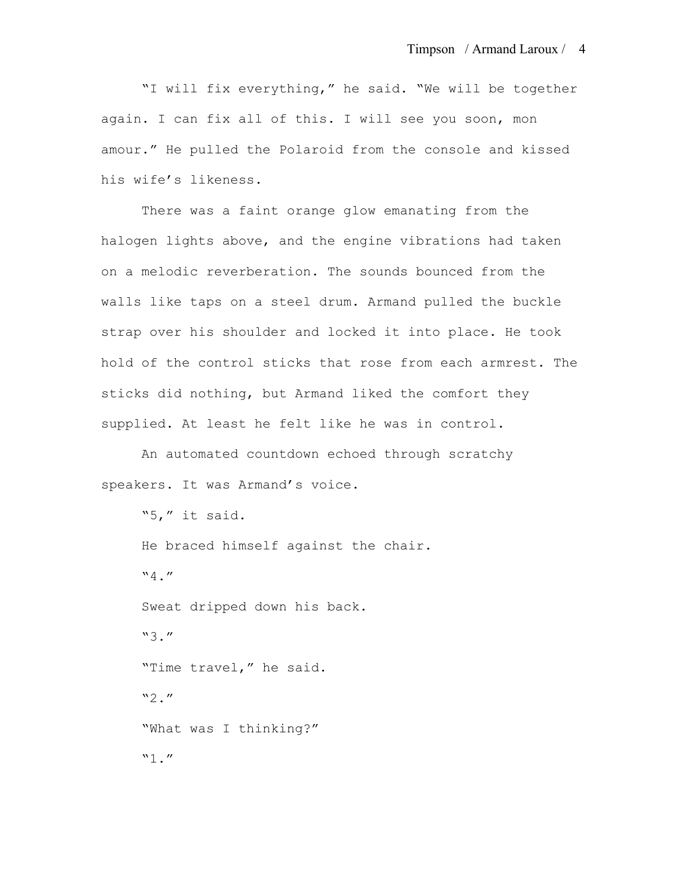"I will fix everything," he said. "We will be together again. I can fix all of this. I will see you soon, mon amour." He pulled the Polaroid from the console and kissed his wife's likeness.

There was a faint orange glow emanating from the halogen lights above, and the engine vibrations had taken on a melodic reverberation. The sounds bounced from the walls like taps on a steel drum. Armand pulled the buckle strap over his shoulder and locked it into place. He took hold of the control sticks that rose from each armrest. The sticks did nothing, but Armand liked the comfort they supplied. At least he felt like he was in control.

An automated countdown echoed through scratchy speakers. It was Armand's voice.

```
"5," it said.
He braced himself against the chair. 
"4."
Sweat dripped down his back. 
"3."
"Time travel," he said. 
"2.""What was I thinking?"
"1."
```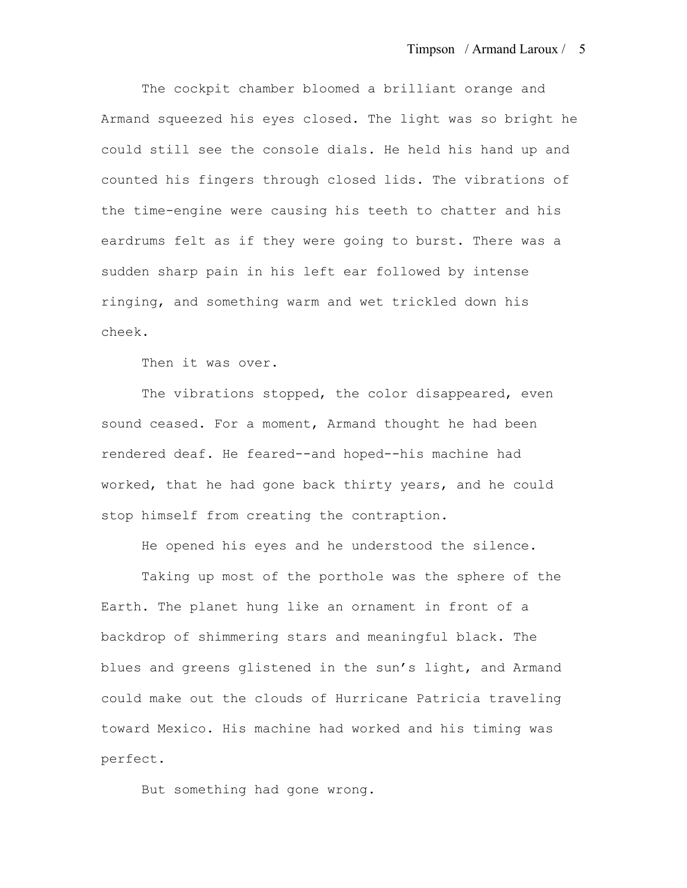The cockpit chamber bloomed a brilliant orange and Armand squeezed his eyes closed. The light was so bright he could still see the console dials. He held his hand up and counted his fingers through closed lids. The vibrations of the time-engine were causing his teeth to chatter and his eardrums felt as if they were going to burst. There was a sudden sharp pain in his left ear followed by intense ringing, and something warm and wet trickled down his cheek.

Then it was over.

The vibrations stopped, the color disappeared, even sound ceased. For a moment, Armand thought he had been rendered deaf. He feared--and hoped--his machine had worked, that he had gone back thirty years, and he could stop himself from creating the contraption.

He opened his eyes and he understood the silence.

Taking up most of the porthole was the sphere of the Earth. The planet hung like an ornament in front of a backdrop of shimmering stars and meaningful black. The blues and greens glistened in the sun's light, and Armand could make out the clouds of Hurricane Patricia traveling toward Mexico. His machine had worked and his timing was perfect.

But something had gone wrong.